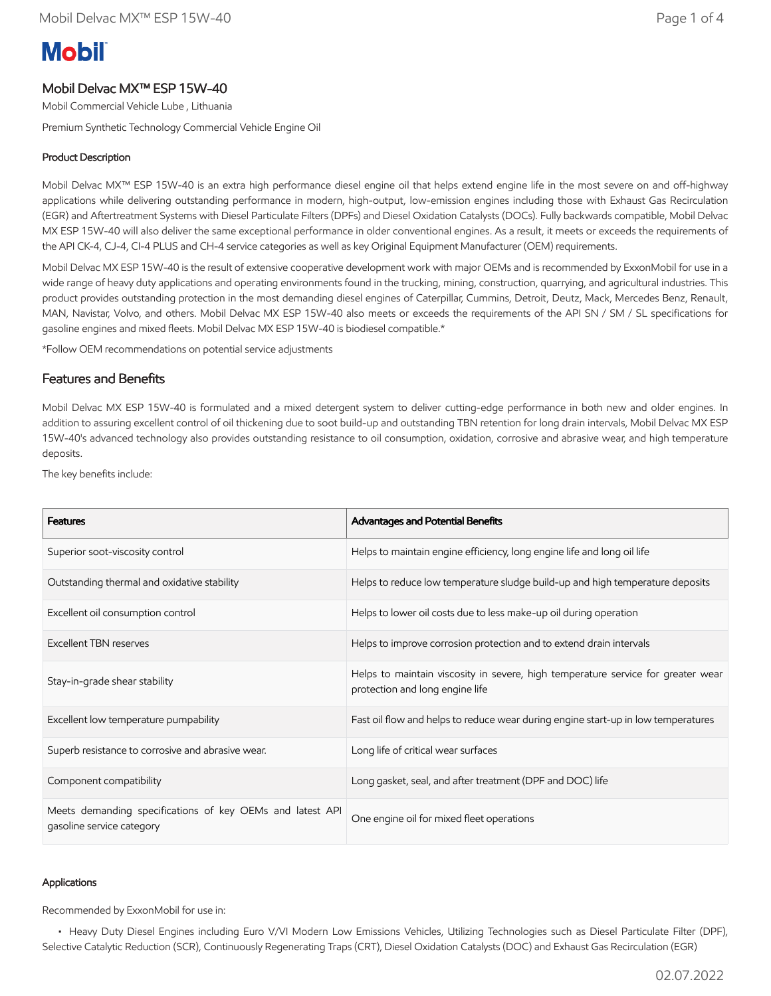# **Mobil**

# Mobil Delvac MX™ ESP 15W-40

Mobil Commercial Vehicle Lube , Lithuania

Premium Synthetic Technology Commercial Vehicle Engine Oil

## Product Description

Mobil Delvac MX™ ESP 15W-40 is an extra high performance diesel engine oil that helps extend engine life in the most severe on and off-highway applications while delivering outstanding performance in modern, high-output, low-emission engines including those with Exhaust Gas Recirculation (EGR) and Aftertreatment Systems with Diesel Particulate Filters (DPFs) and Diesel Oxidation Catalysts (DOCs). Fully backwards compatible, Mobil Delvac MX ESP 15W-40 will also deliver the same exceptional performance in older conventional engines. As a result, it meets or exceeds the requirements of the API CK-4, CJ-4, CI-4 PLUS and CH-4 service categories as well as key Original Equipment Manufacturer (OEM) requirements.

Mobil Delvac MX ESP 15W-40 is the result of extensive cooperative development work with major OEMs and is recommended by ExxonMobil for use in a wide range of heavy duty applications and operating environments found in the trucking, mining, construction, quarrying, and agricultural industries. This product provides outstanding protection in the most demanding diesel engines of Caterpillar, Cummins, Detroit, Deutz, Mack, Mercedes Benz, Renault, MAN, Navistar, Volvo, and others. Mobil Delvac MX ESP 15W-40 also meets or exceeds the requirements of the API SN / SM / SL specifications for gasoline engines and mixed fleets. Mobil Delvac MX ESP 15W-40 is biodiesel compatible.\*

\*Follow OEM recommendations on potential service adjustments

### Features and Benefits

Mobil Delvac MX ESP 15W-40 is formulated and a mixed detergent system to deliver cutting-edge performance in both new and older engines. In addition to assuring excellent control of oil thickening due to soot build-up and outstanding TBN retention for long drain intervals, Mobil Delvac MX ESP 15W-40's advanced technology also provides outstanding resistance to oil consumption, oxidation, corrosive and abrasive wear, and high temperature deposits.

The key benefits include:

| <b>Features</b>                                                                        | Advantages and Potential Benefits                                                                                   |
|----------------------------------------------------------------------------------------|---------------------------------------------------------------------------------------------------------------------|
| Superior soot-viscosity control                                                        | Helps to maintain engine efficiency, long engine life and long oil life                                             |
| Outstanding thermal and oxidative stability                                            | Helps to reduce low temperature sludge build-up and high temperature deposits                                       |
| Excellent oil consumption control                                                      | Helps to lower oil costs due to less make-up oil during operation                                                   |
| <b>Excellent TBN reserves</b>                                                          | Helps to improve corrosion protection and to extend drain intervals                                                 |
| Stay-in-grade shear stability                                                          | Helps to maintain viscosity in severe, high temperature service for greater wear<br>protection and long engine life |
| Excellent low temperature pumpability                                                  | Fast oil flow and helps to reduce wear during engine start-up in low temperatures                                   |
| Superb resistance to corrosive and abrasive wear.                                      | Long life of critical wear surfaces                                                                                 |
| Component compatibility                                                                | Long gasket, seal, and after treatment (DPF and DOC) life                                                           |
| Meets demanding specifications of key OEMs and latest API<br>gasoline service category | One engine oil for mixed fleet operations                                                                           |

#### Applications

Recommended by ExxonMobil for use in:

 • Heavy Duty Diesel Engines including Euro V/VI Modern Low Emissions Vehicles, Utilizing Technologies such as Diesel Particulate Filter (DPF), Selective Catalytic Reduction (SCR), Continuously Regenerating Traps (CRT), Diesel Oxidation Catalysts (DOC) and Exhaust Gas Recirculation (EGR)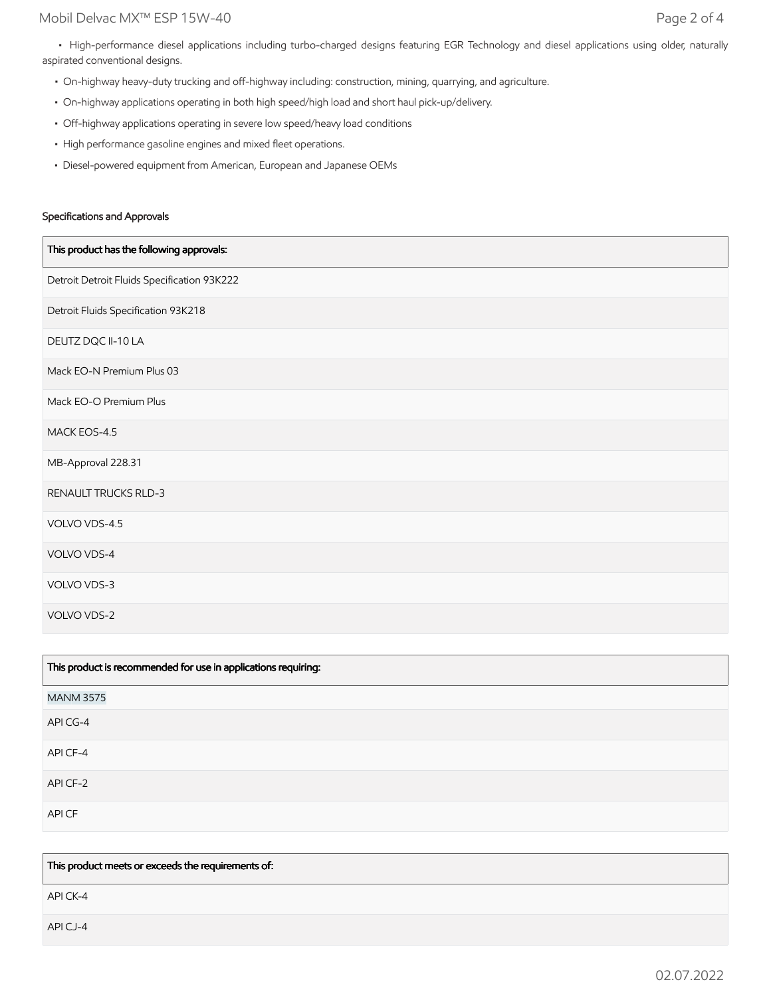• High-performance diesel applications including turbo-charged designs featuring EGR Technology and diesel applications using older, naturally aspirated conventional designs.

- On-highway heavy-duty trucking and off-highway including: construction, mining, quarrying, and agriculture.
- On-highway applications operating in both high speed/high load and short haul pick-up/delivery.
- Off-highway applications operating in severe low speed/heavy load conditions
- High performance gasoline engines and mixed fleet operations.
- Diesel-powered equipment from American, European and Japanese OEMs

#### Specifications and Approvals

| This product has the following approvals:   |
|---------------------------------------------|
| Detroit Detroit Fluids Specification 93K222 |
| Detroit Fluids Specification 93K218         |
| DEUTZ DQC II-10 LA                          |
| Mack EO-N Premium Plus 03                   |
| Mack EO-O Premium Plus                      |
| MACK EOS-4.5                                |
| MB-Approval 228.31                          |
| RENAULT TRUCKS RLD-3                        |
| VOLVO VDS-4.5                               |
| VOLVO VDS-4                                 |
| VOLVO VDS-3                                 |
| VOLVO VDS-2                                 |

| This product is recommended for use in applications requiring: |  |
|----------------------------------------------------------------|--|
| <b>MANM 3575</b>                                               |  |
| API CG-4                                                       |  |
| API CF-4                                                       |  |
| API CF-2                                                       |  |
| API CF                                                         |  |

This product meets or exceeds the requirements of:

API CK-4

API CJ-4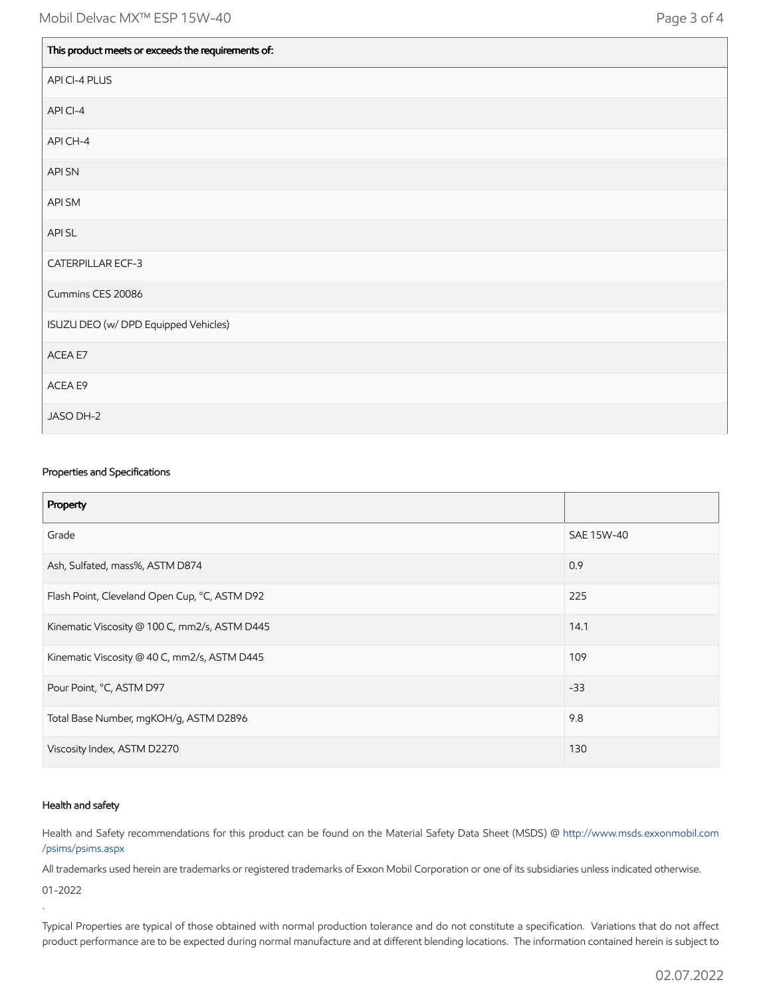| This product meets or exceeds the requirements of: |
|----------------------------------------------------|
| API CI-4 PLUS                                      |
| API CI-4                                           |
| API CH-4                                           |
| API SN                                             |
| API SM                                             |
| API SL                                             |
| CATERPILLAR ECF-3                                  |
| Cummins CES 20086                                  |
| ISUZU DEO (w/ DPD Equipped Vehicles)               |
| ACEA E7                                            |
| ACEA E9                                            |
| JASO DH-2                                          |

#### Properties and Specifications

| Property                                      |            |
|-----------------------------------------------|------------|
| Grade                                         | SAE 15W-40 |
| Ash, Sulfated, mass%, ASTM D874               | 0.9        |
| Flash Point, Cleveland Open Cup, °C, ASTM D92 | 225        |
| Kinematic Viscosity @ 100 C, mm2/s, ASTM D445 | 14.1       |
| Kinematic Viscosity @ 40 C, mm2/s, ASTM D445  | 109        |
| Pour Point, °C, ASTM D97                      | $-33$      |
| Total Base Number, mgKOH/g, ASTM D2896        | 9.8        |
| Viscosity Index, ASTM D2270                   | 130        |

#### Health and safety

.

Health and Safety recommendations for this product can be found on the Material Safety Data Sheet (MSDS) @ [http://www.msds.exxonmobil.com](http://www.msds.exxonmobil.com/psims/psims.aspx) /psims/psims.aspx

All trademarks used herein are trademarks or registered trademarks of Exxon Mobil Corporation or one of its subsidiaries unless indicated otherwise. 01-2022

Typical Properties are typical of those obtained with normal production tolerance and do not constitute a specification. Variations that do not affect product performance are to be expected during normal manufacture and at different blending locations. The information contained herein is subject to